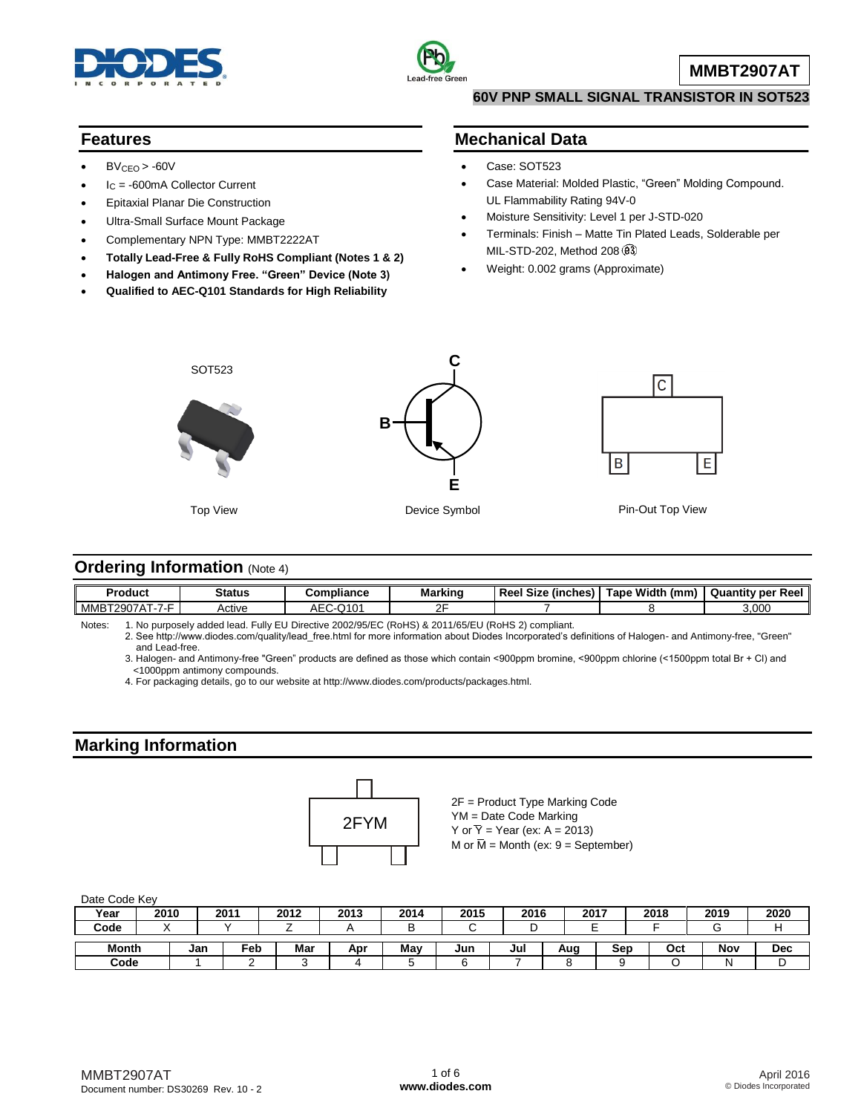



**MMBT2907AT**

#### **60V PNP SMALL SIGNAL TRANSISTOR IN SOT523**

#### **Features**

- $BV<sub>CEO</sub> > -60V$
- I<sup>C</sup> = -600mA Collector Current
- Epitaxial Planar Die Construction
- Ultra-Small Surface Mount Package
- Complementary NPN Type: MMBT2222AT
- **Totally Lead-Free & Fully RoHS Compliant (Notes 1 & 2)**
- **Halogen and Antimony Free. "Green" Device (Note 3)**
- **Qualified to AEC-Q101 Standards for High Reliability**

### **Mechanical Data**

- Case: SOT523
- Case Material: Molded Plastic, "Green" Molding Compound. UL Flammability Rating 94V-0
- Moisture Sensitivity: Level 1 per J-STD-020
- Terminals: Finish Matte Tin Plated Leads, Solderable per MIL-STD-202, Method 208
- Weight: 0.002 grams (Approximate)



#### **Ordering Information (Note 4)**

| Produci                                   | Status | ompliance        | Marking | <br><b>Reel Size</b><br><i>l</i> inches | : Width<br>⊺ape<br>(mm | Quantity per<br>Reel |
|-------------------------------------------|--------|------------------|---------|-----------------------------------------|------------------------|----------------------|
| $ -$<br>MMB <sub>1</sub><br>2Q)<br>$\sim$ | Active | 14C<br>mι<br>. . | ∼∼<br>- |                                         |                        | 3,000                |

Notes: 1. No purposely added lead. Fully EU Directive 2002/95/EC (RoHS) & 2011/65/EU (RoHS 2) compliant.

2. See [http://www.diodes.com/quality/lead\\_free.html fo](http://www.diodes.com/quality/lead_free.html)r more information about Diodes Incorporated's definitions of Halogen- and Antimony-free, "Green" and Lead-free.

3. Halogen- and Antimony-free "Green" products are defined as those which contain <900ppm bromine, <900ppm chlorine (<1500ppm total Br + Cl) and <1000ppm antimony compounds.

4. For packaging details, go to our website at [http://www.diodes.com/products/packages.html.](http://www.diodes.com/products/packages.html)

#### **Marking Information**



2F = Product Type Marking Code YM = Date Code Marking Y or  $\overline{Y}$  = Year (ex: A = 2013) M or  $\overline{M}$  = Month (ex: 9 = September)

| Date Code Key |      |     |     |      |      |      |      |      |      |     |      |      |            |
|---------------|------|-----|-----|------|------|------|------|------|------|-----|------|------|------------|
| Year          | 2010 |     | 201 | 2012 | 2013 | 2014 | 2015 | 2016 | 2017 |     | 2018 | 2019 | 2020       |
| Code          |      |     |     |      |      |      |      | ட    |      |     |      |      |            |
| <b>Month</b>  |      | Jan | Feb | Mar  | Apr  | Mav  | Jun  | Jul  | Aug  | Sep | Oct  | Nov  | <b>Dec</b> |
| Code          |      |     |     |      |      |      |      |      | o    |     |      |      |            |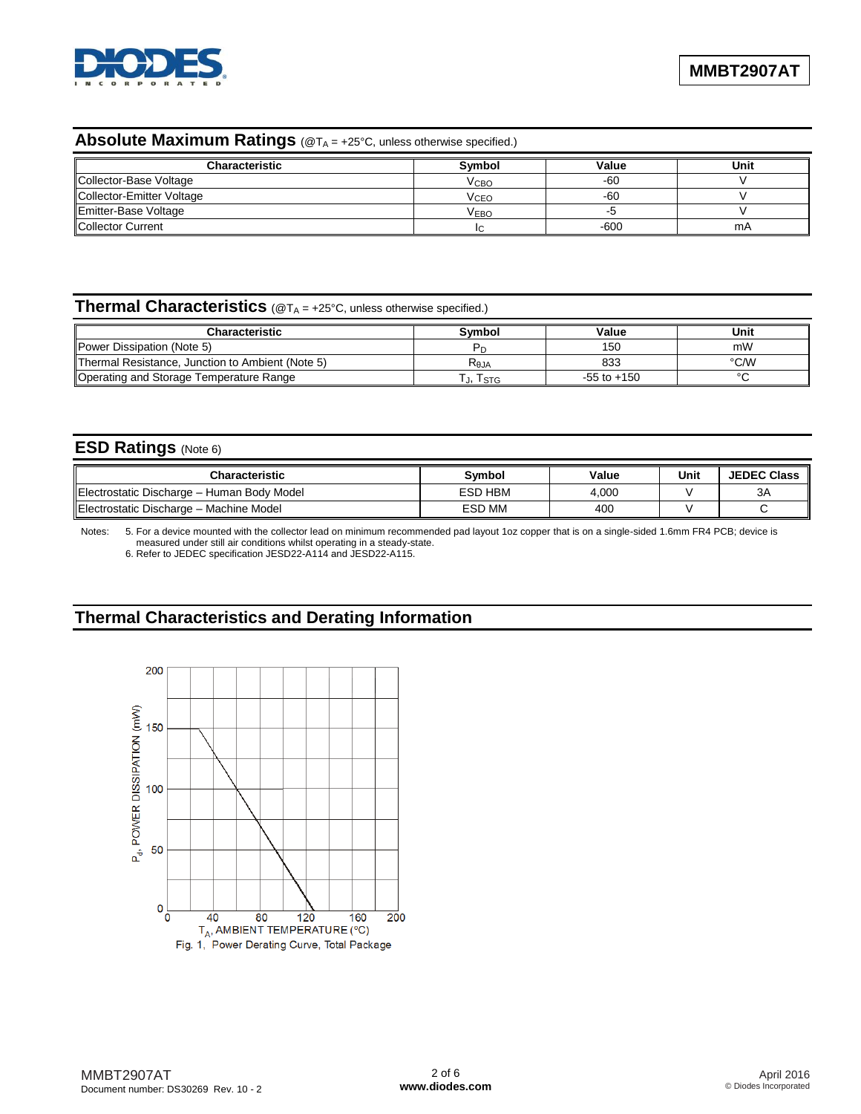

# **Absolute Maximum Ratings** (@T<sub>A</sub> = +25°C, unless otherwise specified.)

| <b>Characteristic</b>     | Svmbol           | Value  | Unit |
|---------------------------|------------------|--------|------|
| Collector-Base Voltage    | V <sub>CBO</sub> | -60    |      |
| Collector-Emitter Voltage | V <sub>CEO</sub> | $-60$  |      |
| Emitter-Base Voltage      | V <sub>EBO</sub> |        |      |
| Collector Current         |                  | $-600$ | mA   |

## **Thermal Characteristics** (@T<sub>A</sub> = +25°C, unless otherwise specified.)

| Characteristic                                   | Svmbol          | Value           | Unit |
|--------------------------------------------------|-----------------|-----------------|------|
| Power Dissipation (Note 5)                       |                 | 150             | mW   |
| Thermal Resistance, Junction to Ambient (Note 5) | $R_{\theta JA}$ | 833             | °C/W |
| Operating and Storage Temperature Range          | . j, Iste       | $-55$ to $+150$ |      |

#### **ESD Ratings** (Note 6)

| <b>Characteristic</b>                      | <b>Symbol</b> | Value | Unit | <b>JEDEC Class</b> |
|--------------------------------------------|---------------|-------|------|--------------------|
| Electrostatic Discharge - Human Body Model | ESD HBM       | 4,000 |      | 3A                 |
| Electrostatic Discharge - Machine Model    | <b>ESD MM</b> | 400   |      |                    |

Notes: 5. For a device mounted with the collector lead on minimum recommended pad layout 1oz copper that is on a single-sided 1.6mm FR4 PCB; device is measured under still air conditions whilst operating in a steady-state.

6. Refer to JEDEC specification JESD22-A114 and JESD22-A115.

## **Thermal Characteristics and Derating Information**

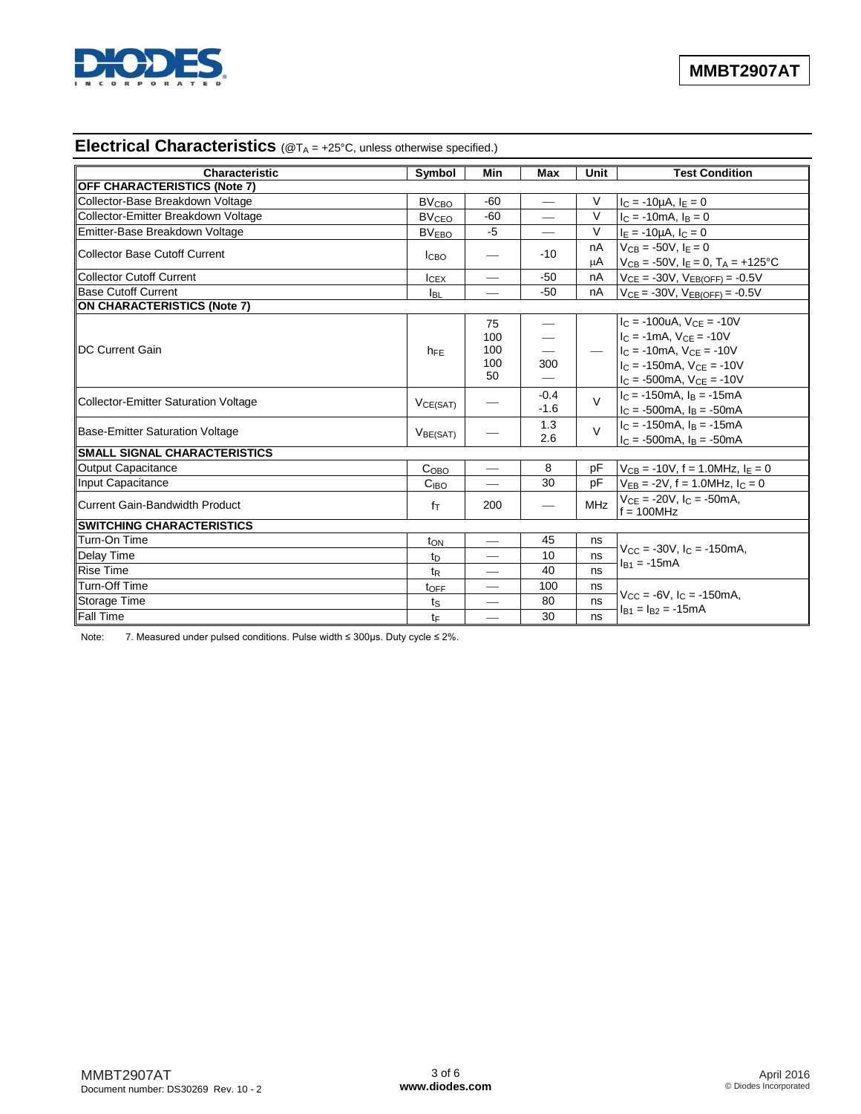

### **Electrical Characteristics** (@T<sub>A</sub> = +25°C, unless otherwise specified.)

| Characteristic                         | Symbol                  | Min                      | <b>Max</b> | Unit          | <b>Test Condition</b>                          |  |
|----------------------------------------|-------------------------|--------------------------|------------|---------------|------------------------------------------------|--|
| <b>OFF CHARACTERISTICS (Note 7)</b>    |                         |                          |            |               |                                                |  |
| Collector-Base Breakdown Voltage       | <b>BV<sub>CBO</sub></b> | $-60$                    |            | V             | $I_C = -10\mu A, I_E = 0$                      |  |
| Collector-Emitter Breakdown Voltage    | <b>BV<sub>CEO</sub></b> | $-60$                    |            | $\vee$        | $I_C = -10mA$ , $I_B = 0$                      |  |
| Emitter-Base Breakdown Voltage         | <b>BV<sub>EBO</sub></b> | $-5$                     |            | $\vee$        | $I_E = -10\mu A$ , $I_C = 0$                   |  |
| Collector Base Cutoff Current          |                         |                          |            | nA            | $V_{CB} = -50V$ , $I_F = 0$                    |  |
|                                        | <b>I</b> CBO            |                          | $-10$      | μA            | $V_{CB} = -50V$ , $I_E = 0$ , $T_A = +125$ °C  |  |
| <b>Collector Cutoff Current</b>        | lcEx                    |                          | $-50$      | nA            | $V_{CE} = -30V$ , $V_{EB(OFF)} = -0.5V$        |  |
| <b>Base Cutoff Current</b>             | <b>I</b> BL             |                          | $-50$      | nA            | $V_{CE} = -30V$ , $V_{EB(OFF)} = -0.5V$        |  |
| <b>ON CHARACTERISTICS (Note 7)</b>     |                         |                          |            |               |                                                |  |
|                                        |                         | 75                       |            |               | $I_C = -100uA$ , $V_{CE} = -10V$               |  |
|                                        |                         | 100                      |            |               | $I_C = -1mA$ , $V_{CF} = -10V$                 |  |
| <b>IDC Current Gain</b>                | $h_{FE}$                | 100                      |            |               | $\angle$ $I_C = -10$ mA, $V_{CE} = -10V$       |  |
|                                        |                         | 100                      | 300        |               | $I_C = -150$ mA, $V_{CF} = -10V$               |  |
|                                        |                         | 50                       |            |               | $I_C = -500 \text{mA}$ , $V_{CE} = -10V$       |  |
| Collector-Emitter Saturation Voltage   | VCE(SAT)                |                          | $-0.4$     | $\mathcal{U}$ | $lc = -150mA$ , $ls = -15mA$                   |  |
|                                        |                         |                          | $-1.6$     |               | $I_C = -500 \text{mA}$ , $I_B = -50 \text{mA}$ |  |
| <b>Base-Emitter Saturation Voltage</b> | V <sub>BE(SAT)</sub>    |                          | 1.3        | $\vee$        | $IC = -150mA$ , $IB = -15mA$                   |  |
|                                        |                         |                          | 2.6        |               | $I_C = -500mA$ , $I_B = -50mA$                 |  |
| <b>SMALL SIGNAL CHARACTERISTICS</b>    |                         |                          |            |               |                                                |  |
| <b>Output Capacitance</b>              | Co <sub>BO</sub>        | $\overline{\phantom{0}}$ | 8          | рF            | $V_{CB} = -10V$ , f = 1.0MHz, $I_E = 0$        |  |
| <b>Input Capacitance</b>               | C <sub>IBO</sub>        |                          | 30         | pF            | $V_{EB} = -2V$ , f = 1.0MHz, $I_C = 0$         |  |
| <b>Current Gain-Bandwidth Product</b>  | $f_{\text{T}}$          | 200                      |            | <b>MHz</b>    | $V_{CE} = -20V$ , $I_C = -50mA$ ,              |  |
|                                        |                         |                          |            |               | $f = 100$ MHz                                  |  |
| <b>SWITCHING CHARACTERISTICS</b>       |                         |                          |            |               |                                                |  |
| Turn-On Time                           | t <sub>ON</sub>         | $\overline{\phantom{0}}$ | 45         | ns            | $V_{CC}$ = -30V, $I_C$ = -150mA,               |  |
| <b>Delay Time</b>                      | $t_{D}$                 |                          | 10         | ns            | $I_{B1} = -15mA$                               |  |
| <b>Rise Time</b>                       | t <sub>R</sub>          |                          | 40         | ns            |                                                |  |
| Turn-Off Time                          | toFF                    | $\overline{\phantom{0}}$ | 100        | ns            | $V_{CC} = -6V$ , $I_C = -150$ mA,              |  |
| Storage Time                           | ts                      |                          | 80         | ns            | $I_{B1} = I_{B2} = -15mA$                      |  |
| <b>Fall Time</b>                       | $t_{F}$                 | $\overline{\phantom{0}}$ | 30         | ns            |                                                |  |

Note: 7. Measured under pulsed conditions. Pulse width ≤ 300µs. Duty cycle ≤ 2%.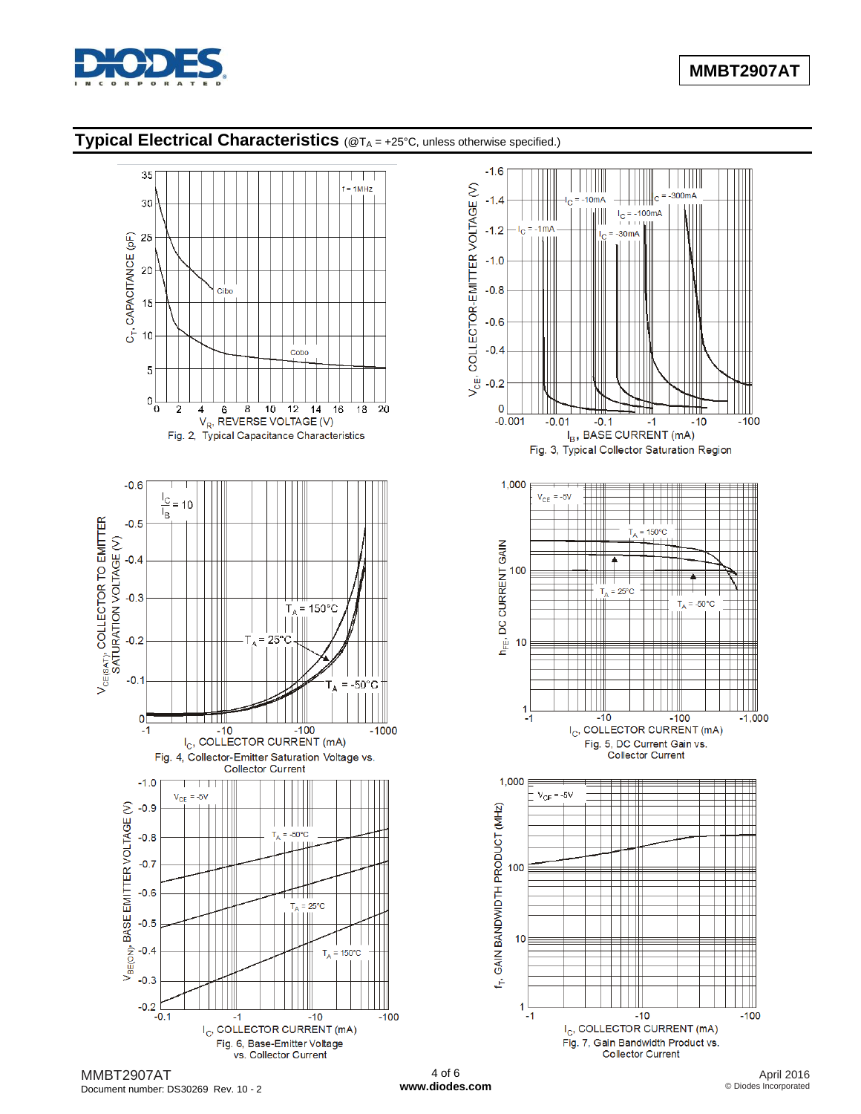

## **Typical Electrical Characteristics** (@TA = +25°C, unless otherwise specified.)



Document number: DS30269 Rev. 10 - 2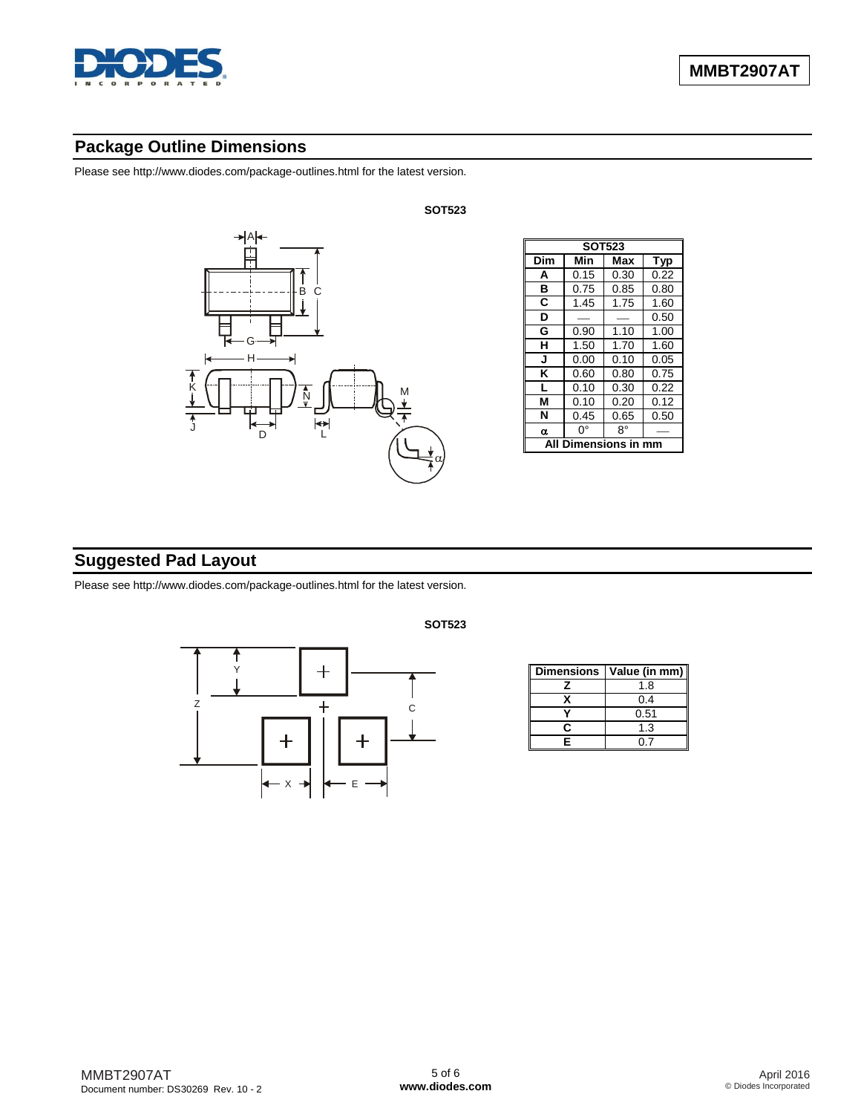

### **Package Outline Dimensions**

Please see [http://www.diodes.com/package-outlines.html fo](http://www.diodes.com/package-outlines.html)r the latest version.



| <b>SOT523</b>  |      |      |            |  |  |  |
|----------------|------|------|------------|--|--|--|
| Dim            | Min  | Max  | <b>Typ</b> |  |  |  |
| A              | 0.15 | 0.30 | 0.22       |  |  |  |
| в              | 0.75 | 0.85 | 0.80       |  |  |  |
| C              | 1.45 | 1.75 | 1.60       |  |  |  |
| D              |      |      | 0.50       |  |  |  |
| G              | 0.90 | 1.10 | 1.00       |  |  |  |
| н              | 1.50 | 1.70 | 1.60       |  |  |  |
| J              | 0.00 | 0.10 | 0.05       |  |  |  |
| κ              | 0.60 | 0.80 | 0.75       |  |  |  |
| L              | 0.10 | 0.30 | 0.22       |  |  |  |
| М              | 0.10 | 0.20 | 0.12       |  |  |  |
| N              | 0.45 | 0.65 | 0.50       |  |  |  |
| $\alpha$       | n۰   | R۰   |            |  |  |  |
| <b>ensions</b> |      |      |            |  |  |  |

## **Suggested Pad Layout**

Please see [http://www.diodes.com/package-outlines.html fo](http://www.diodes.com/package-outlines.html)r the latest version.



**SOT523**

|   | Dimensions   Value (in mm) |
|---|----------------------------|
|   | 1.8                        |
|   | 0.4                        |
|   | 0.51                       |
| c | 1.3                        |
| F | ባ 7                        |